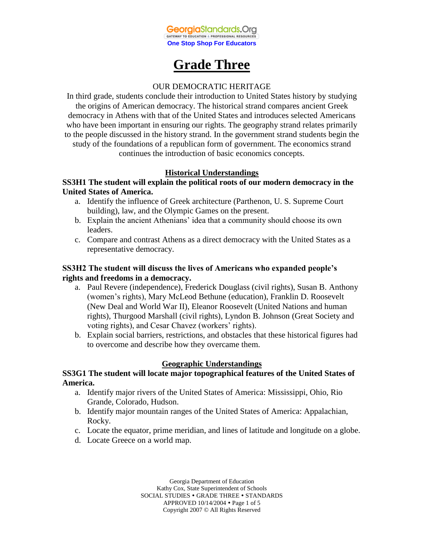

# **Grade Three**

## OUR DEMOCRATIC HERITAGE

In third grade, students conclude their introduction to United States history by studying the origins of American democracy. The historical strand compares ancient Greek democracy in Athens with that of the United States and introduces selected Americans who have been important in ensuring our rights. The geography strand relates primarily to the people discussed in the history strand. In the government strand students begin the study of the foundations of a republican form of government. The economics strand continues the introduction of basic economics concepts.

## **Historical Understandings**

## **SS3H1 The student will explain the political roots of our modern democracy in the United States of America.**

- a. Identify the influence of Greek architecture (Parthenon, U. S. Supreme Court building), law, and the Olympic Games on the present.
- b. Explain the ancient Athenians' idea that a community should choose its own leaders.
- c. Compare and contrast Athens as a direct democracy with the United States as a representative democracy.

## **SS3H2 The student will discuss the lives of Americans who expanded people's rights and freedoms in a democracy.**

- a. Paul Revere (independence), Frederick Douglass (civil rights), Susan B. Anthony (women's rights), Mary McLeod Bethune (education), Franklin D. Roosevelt (New Deal and World War II), Eleanor Roosevelt (United Nations and human rights), Thurgood Marshall (civil rights), Lyndon B. Johnson (Great Society and voting rights), and Cesar Chavez (workers' rights).
- b. Explain social barriers, restrictions, and obstacles that these historical figures had to overcome and describe how they overcame them.

## **Geographic Understandings**

## **SS3G1 The student will locate major topographical features of the United States of America.**

- a. Identify major rivers of the United States of America: Mississippi, Ohio, Rio Grande, Colorado, Hudson.
- b. Identify major mountain ranges of the United States of America: Appalachian, Rocky.
- c. Locate the equator, prime meridian, and lines of latitude and longitude on a globe.
- d. Locate Greece on a world map.

Georgia Department of Education Kathy Cox, State Superintendent of Schools SOCIAL STUDIES . GRADE THREE . STANDARDS APPROVED 10/14/2004 Page 1 of 5 Copyright 2007 © All Rights Reserved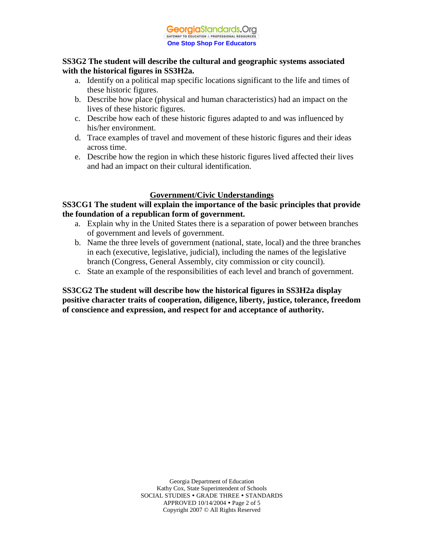## **SS3G2 The student will describe the cultural and geographic systems associated with the historical figures in SS3H2a.**

- a. Identify on a political map specific locations significant to the life and times of these historic figures.
- b. Describe how place (physical and human characteristics) had an impact on the lives of these historic figures.
- c. Describe how each of these historic figures adapted to and was influenced by his/her environment.
- d. Trace examples of travel and movement of these historic figures and their ideas across time.
- e. Describe how the region in which these historic figures lived affected their lives and had an impact on their cultural identification.

# **Government/Civic Understandings**

## **SS3CG1 The student will explain the importance of the basic principles that provide the foundation of a republican form of government.**

- a. Explain why in the United States there is a separation of power between branches of government and levels of government.
- b. Name the three levels of government (national, state, local) and the three branches in each (executive, legislative, judicial), including the names of the legislative branch (Congress, General Assembly, city commission or city council).
- c. State an example of the responsibilities of each level and branch of government.

**SS3CG2 The student will describe how the historical figures in SS3H2a display positive character traits of cooperation, diligence, liberty, justice, tolerance, freedom of conscience and expression, and respect for and acceptance of authority.**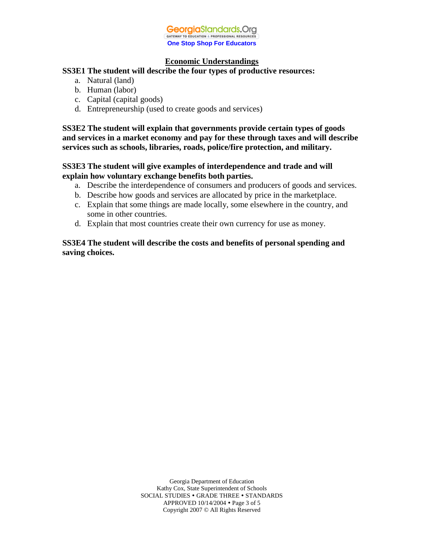

### **Economic Understandings**

#### **SS3E1 The student will describe the four types of productive resources:**

- a. Natural (land)
- b. Human (labor)
- c. Capital (capital goods)
- d. Entrepreneurship (used to create goods and services)

**SS3E2 The student will explain that governments provide certain types of goods and services in a market economy and pay for these through taxes and will describe services such as schools, libraries, roads, police/fire protection, and military.**

## **SS3E3 The student will give examples of interdependence and trade and will explain how voluntary exchange benefits both parties.**

- a. Describe the interdependence of consumers and producers of goods and services.
- b. Describe how goods and services are allocated by price in the marketplace.
- c. Explain that some things are made locally, some elsewhere in the country, and some in other countries.
- d. Explain that most countries create their own currency for use as money.

## **SS3E4 The student will describe the costs and benefits of personal spending and saving choices.**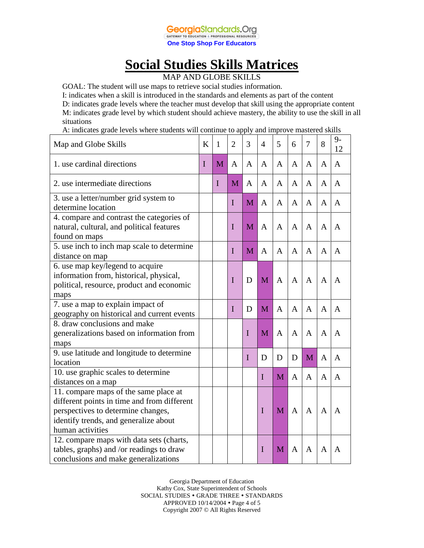

# **Social Studies Skills Matrices**

MAP AND GLOBE SKILLS

GOAL: The student will use maps to retrieve social studies information.

I: indicates when a skill is introduced in the standards and elements as part of the content

D: indicates grade levels where the teacher must develop that skill using the appropriate content M: indicates grade level by which student should achieve mastery, the ability to use the skill in all situations

A: indicates grade levels where students will continue to apply and improve mastered skills

| Map and Globe Skills                                                                                                                                                                    | K | 1           | $\overline{2}$ | 3           | 4            | 5            | 6              | 7 | 8              | $9-$<br>12   |
|-----------------------------------------------------------------------------------------------------------------------------------------------------------------------------------------|---|-------------|----------------|-------------|--------------|--------------|----------------|---|----------------|--------------|
| 1. use cardinal directions                                                                                                                                                              | I | M           | A              | A           | A            | A            | A              | A | $\mathbf{A}$   | $\mathbf{A}$ |
| 2. use intermediate directions                                                                                                                                                          |   | $\mathbf I$ | M              | A           | A            | A            | A              | A | A              | A            |
| 3. use a letter/number grid system to<br>determine location                                                                                                                             |   |             | I              | M           | A            | A            | $\mathbf{A}$   | A | A              | A            |
| 4. compare and contrast the categories of<br>natural, cultural, and political features<br>found on maps                                                                                 |   |             | I              | M           | A            | A            | $\mathsf{A}$   | A | A              | A            |
| 5. use inch to inch map scale to determine<br>distance on map                                                                                                                           |   |             | I              | M           | $\mathbf{A}$ | A            | A              | A | $\mathbf{A}$   | A            |
| 6. use map key/legend to acquire<br>information from, historical, physical,<br>political, resource, product and economic<br>maps                                                        |   |             | I              | D           | M            | $\mathbf{A}$ | $\overline{A}$ | A | $\overline{A}$ | A            |
| 7. use a map to explain impact of<br>geography on historical and current events                                                                                                         |   |             | I              | D           | M            | $\mathbf{A}$ | $\mathbf{A}$   | A | $\mathbf{A}$   | A            |
| 8. draw conclusions and make<br>generalizations based on information from<br>maps                                                                                                       |   |             |                | $\mathbf I$ | M            | $\mathbf{A}$ | $\mathbf{A}$   | A | $\mathbf{A}$   | A            |
| 9. use latitude and longitude to determine<br>location                                                                                                                                  |   |             |                | $\mathbf I$ | D            | D            | D              | M | A              | A            |
| 10. use graphic scales to determine<br>distances on a map                                                                                                                               |   |             |                |             | I            | M            | $\mathbf{A}$   | A | A              | A            |
| 11. compare maps of the same place at<br>different points in time and from different<br>perspectives to determine changes,<br>identify trends, and generalize about<br>human activities |   |             |                |             | $\mathbf I$  | M            | $\mathbf{A}$   | A | A              | A            |
| 12. compare maps with data sets (charts,<br>tables, graphs) and /or readings to draw<br>conclusions and make generalizations                                                            |   |             |                |             | I            | M            | A              | A | A              | A            |

Georgia Department of Education Kathy Cox, State Superintendent of Schools SOCIAL STUDIES . GRADE THREE . STANDARDS APPROVED 10/14/2004 Page 4 of 5 Copyright 2007 © All Rights Reserved